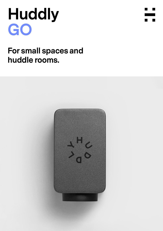# **Huddly GO**



## **For small spaces and huddle rooms.**

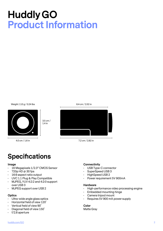## **Huddly GO Product Information**

Weight: 110 g / 0.24 lbs



4.0 cm / 1.6 in



7.2 cm / 2.82 in

## **Specifications**

#### **Image**

• 16 Megapixels 1/2.3" CMOS Sensor

3.5 cm / 1.4 in

- $\cdot$  720p HD @ 30 fps
- 16:9 aspect ratio output
- UVC 1.1 Plug & Play Compatible
- MJPEG, YUV 4:2:2 and 4:2:0 support over USB 3
- MJPEG support over USB 2

### **Optics**

- Ultra-wide angle glass optics
- Horizontal field of view 120˚
- Vertical field of view 90˚
- Diagonal field of view 150˚
- f/2.8 aperture

### **Connectivity**

- USB Type-C connector
- SuperSpeed USB 3
- HighSpeed USB 2
- Power requirement 5V 900mA

### **Hardware**

- High-performance video processing engine
- Embedded mounting hinge
- Camera tripod mount
- Requires 5V 900 mA power supply

### **Color** Matte Gray